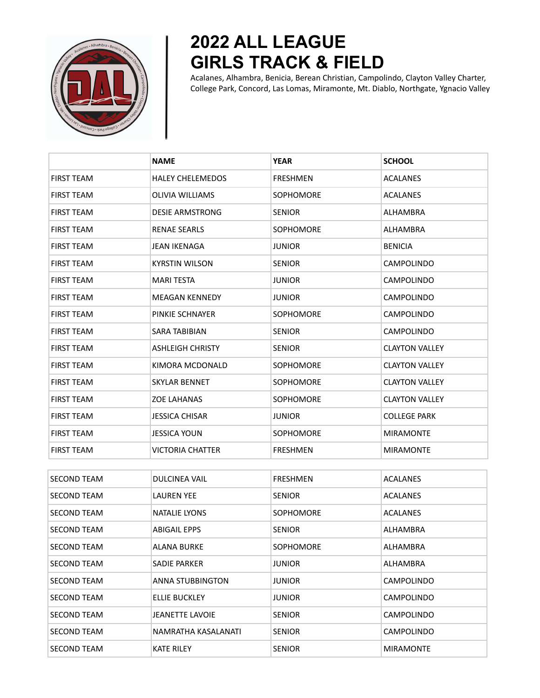

## **2022 ALL LEAGUE GIRLS TRACK & FIELD**

Acalanes, Alhambra, Benicia, Berean Christian, Campolindo, Clayton Valley Charter, College Park, Concord, Las Lomas, Miramonte, Mt. Diablo, Northgate, Ygnacio Valley

|                   | <b>NAME</b>             | <b>YEAR</b>      | <b>SCHOOL</b>         |
|-------------------|-------------------------|------------------|-----------------------|
| <b>FIRST TEAM</b> | <b>HALEY CHELEMEDOS</b> | <b>FRESHMEN</b>  | <b>ACALANES</b>       |
| <b>FIRST TEAM</b> | <b>OLIVIA WILLIAMS</b>  | SOPHOMORE        | <b>ACALANES</b>       |
| <b>FIRST TEAM</b> | <b>DESIE ARMSTRONG</b>  | <b>SENIOR</b>    | <b>ALHAMBRA</b>       |
| <b>FIRST TEAM</b> | <b>RENAE SEARLS</b>     | <b>SOPHOMORE</b> | ALHAMBRA              |
| <b>FIRST TEAM</b> | <b>JEAN IKENAGA</b>     | <b>JUNIOR</b>    | <b>BENICIA</b>        |
| <b>FIRST TEAM</b> | <b>KYRSTIN WILSON</b>   | <b>SENIOR</b>    | <b>CAMPOLINDO</b>     |
| <b>FIRST TEAM</b> | <b>MARI TESTA</b>       | JUNIOR           | <b>CAMPOLINDO</b>     |
| <b>FIRST TEAM</b> | <b>MEAGAN KENNEDY</b>   | JUNIOR           | <b>CAMPOLINDO</b>     |
| <b>FIRST TEAM</b> | PINKIE SCHNAYER         | <b>SOPHOMORE</b> | <b>CAMPOLINDO</b>     |
| <b>FIRST TEAM</b> | <b>SARA TABIBIAN</b>    | <b>SENIOR</b>    | <b>CAMPOLINDO</b>     |
| <b>FIRST TEAM</b> | <b>ASHLEIGH CHRISTY</b> | <b>SENIOR</b>    | <b>CLAYTON VALLEY</b> |
| <b>FIRST TEAM</b> | KIMORA MCDONALD         | <b>SOPHOMORE</b> | <b>CLAYTON VALLEY</b> |
| <b>FIRST TEAM</b> | <b>SKYLAR BENNET</b>    | <b>SOPHOMORE</b> | <b>CLAYTON VALLEY</b> |
| <b>FIRST TEAM</b> | <b>ZOE LAHANAS</b>      | <b>SOPHOMORE</b> | <b>CLAYTON VALLEY</b> |
| <b>FIRST TEAM</b> | <b>JESSICA CHISAR</b>   | <b>JUNIOR</b>    | <b>COLLEGE PARK</b>   |
| <b>FIRST TEAM</b> | <b>JESSICA YOUN</b>     | <b>SOPHOMORE</b> | <b>MIRAMONTE</b>      |
| <b>FIRST TEAM</b> | <b>VICTORIA CHATTER</b> | <b>FRESHMEN</b>  | <b>MIRAMONTE</b>      |

| <b>SECOND TEAM</b> | <b>DULCINEA VAIL</b>   | <b>FRESHMEN</b>  | <b>ACALANES</b>   |
|--------------------|------------------------|------------------|-------------------|
| <b>SECOND TEAM</b> | <b>LAUREN YEE</b>      | <b>SENIOR</b>    | <b>ACALANES</b>   |
| <b>SECOND TEAM</b> | NATALIE LYONS          | <b>SOPHOMORE</b> | <b>ACALANES</b>   |
| <b>SECOND TEAM</b> | <b>ABIGAIL EPPS</b>    | <b>SENIOR</b>    | ALHAMBRA          |
| <b>SECOND TEAM</b> | <b>ALANA BURKE</b>     | <b>SOPHOMORE</b> | ALHAMBRA          |
| <b>SECOND TEAM</b> | SADIE PARKER           | <b>JUNIOR</b>    | ALHAMBRA          |
| <b>SECOND TEAM</b> | ANNA STUBBINGTON       | <b>JUNIOR</b>    | <b>CAMPOLINDO</b> |
| <b>SECOND TEAM</b> | ELLIE BUCKLEY          | <b>JUNIOR</b>    | <b>CAMPOLINDO</b> |
| <b>SECOND TEAM</b> | <b>JEANETTE LAVOIE</b> | <b>SENIOR</b>    | <b>CAMPOLINDO</b> |
| <b>SECOND TEAM</b> | NAMRATHA KASALANATI    | <b>SENIOR</b>    | CAMPOLINDO        |
| <b>SECOND TEAM</b> | <b>KATE RILEY</b>      | <b>SENIOR</b>    | <b>MIRAMONTE</b>  |